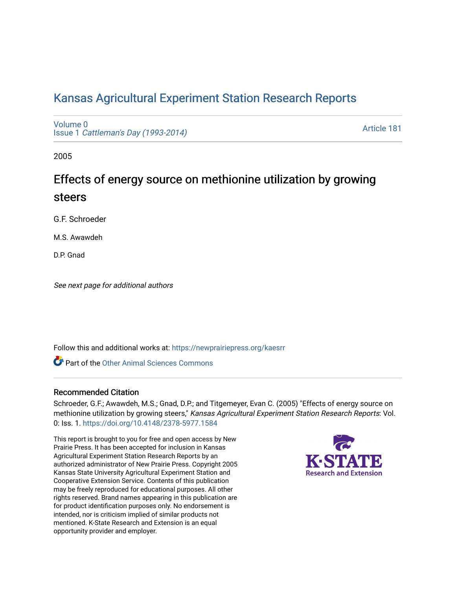# [Kansas Agricultural Experiment Station Research Reports](https://newprairiepress.org/kaesrr)

[Volume 0](https://newprairiepress.org/kaesrr/vol0) Issue 1 [Cattleman's Day \(1993-2014\)](https://newprairiepress.org/kaesrr/vol0/iss1) 

[Article 181](https://newprairiepress.org/kaesrr/vol0/iss1/181) 

2005

# Effects of energy source on methionine utilization by growing steers

G.F. Schroeder

M.S. Awawdeh

D.P. Gnad

See next page for additional authors

Follow this and additional works at: [https://newprairiepress.org/kaesrr](https://newprairiepress.org/kaesrr?utm_source=newprairiepress.org%2Fkaesrr%2Fvol0%2Fiss1%2F181&utm_medium=PDF&utm_campaign=PDFCoverPages) 

**C** Part of the [Other Animal Sciences Commons](http://network.bepress.com/hgg/discipline/82?utm_source=newprairiepress.org%2Fkaesrr%2Fvol0%2Fiss1%2F181&utm_medium=PDF&utm_campaign=PDFCoverPages)

# Recommended Citation

Schroeder, G.F.; Awawdeh, M.S.; Gnad, D.P.; and Titgemeyer, Evan C. (2005) "Effects of energy source on methionine utilization by growing steers," Kansas Agricultural Experiment Station Research Reports: Vol. 0: Iss. 1.<https://doi.org/10.4148/2378-5977.1584>

This report is brought to you for free and open access by New Prairie Press. It has been accepted for inclusion in Kansas Agricultural Experiment Station Research Reports by an authorized administrator of New Prairie Press. Copyright 2005 Kansas State University Agricultural Experiment Station and Cooperative Extension Service. Contents of this publication may be freely reproduced for educational purposes. All other rights reserved. Brand names appearing in this publication are for product identification purposes only. No endorsement is intended, nor is criticism implied of similar products not mentioned. K-State Research and Extension is an equal opportunity provider and employer.

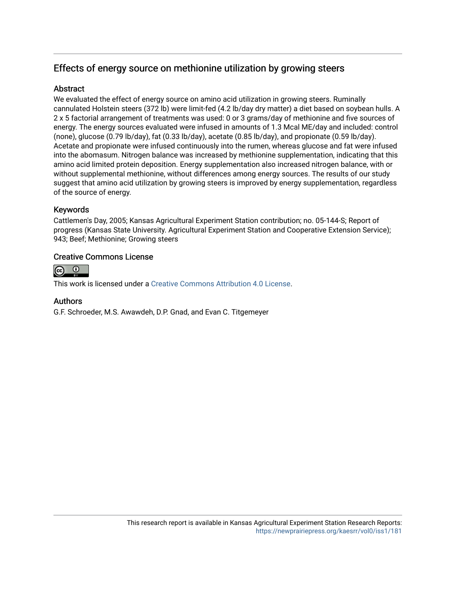# Effects of energy source on methionine utilization by growing steers

# **Abstract**

We evaluated the effect of energy source on amino acid utilization in growing steers. Ruminally cannulated Holstein steers (372 lb) were limit-fed (4.2 lb/day dry matter) a diet based on soybean hulls. A 2 x 5 factorial arrangement of treatments was used: 0 or 3 grams/day of methionine and five sources of energy. The energy sources evaluated were infused in amounts of 1.3 Mcal ME/day and included: control (none), glucose (0.79 lb/day), fat (0.33 lb/day), acetate (0.85 lb/day), and propionate (0.59 lb/day). Acetate and propionate were infused continuously into the rumen, whereas glucose and fat were infused into the abomasum. Nitrogen balance was increased by methionine supplementation, indicating that this amino acid limited protein deposition. Energy supplementation also increased nitrogen balance, with or without supplemental methionine, without differences among energy sources. The results of our study suggest that amino acid utilization by growing steers is improved by energy supplementation, regardless of the source of energy.

# Keywords

Cattlemen's Day, 2005; Kansas Agricultural Experiment Station contribution; no. 05-144-S; Report of progress (Kansas State University. Agricultural Experiment Station and Cooperative Extension Service); 943; Beef; Methionine; Growing steers

# Creative Commons License



This work is licensed under a [Creative Commons Attribution 4.0 License](https://creativecommons.org/licenses/by/4.0/).

# Authors

G.F. Schroeder, M.S. Awawdeh, D.P. Gnad, and Evan C. Titgemeyer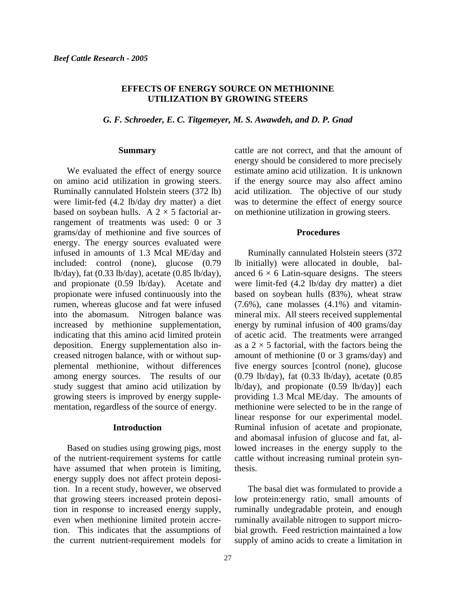#### **EFFECTS OF ENERGY SOURCE ON METHIONINE UTILIZATION BY GROWING STEERS**

*G. F. Schroeder, E. C. Titgemeyer, M. S. Awawdeh, and D. P. Gnad* 

#### **Summary**

We evaluated the effect of energy source on amino acid utilization in growing steers. Ruminally cannulated Holstein steers (372 lb) were limit-fed (4.2 lb/day dry matter) a diet based on soybean hulls. A  $2 \times 5$  factorial arrangement of treatments was used: 0 or 3 grams/day of methionine and five sources of energy. The energy sources evaluated were infused in amounts of 1.3 Mcal ME/day and included: control (none), glucose (0.79 lb/day), fat (0.33 lb/day), acetate (0.85 lb/day), and propionate (0.59 lb/day). Acetate and propionate were infused continuously into the rumen, whereas glucose and fat were infused into the abomasum. Nitrogen balance was increased by methionine supplementation, indicating that this amino acid limited protein deposition. Energy supplementation also increased nitrogen balance, with or without supplemental methionine, without differences among energy sources. The results of our study suggest that amino acid utilization by growing steers is improved by energy supplementation, regardless of the source of energy.

#### **Introduction**

Based on studies using growing pigs, most of the nutrient-requirement systems for cattle have assumed that when protein is limiting, energy supply does not affect protein deposition. In a recent study, however, we observed that growing steers increased protein deposition in response to increased energy supply, even when methionine limited protein accretion. This indicates that the assumptions of the current nutrient-requirement models for

cattle are not correct, and that the amount of energy should be considered to more precisely estimate amino acid utilization. It is unknown if the energy source may also affect amino acid utilization. The objective of our study was to determine the effect of energy source on methionine utilization in growing steers.

#### **Procedures**

Ruminally cannulated Holstein steers (372 lb initially) were allocated in double, balanced  $6 \times 6$  Latin-square designs. The steers were limit-fed (4.2 lb/day dry matter) a diet based on soybean hulls (83%), wheat straw (7.6%), cane molasses (4.1%) and vitaminmineral mix. All steers received supplemental energy by ruminal infusion of 400 grams/day of acetic acid. The treatments were arranged as a  $2 \times 5$  factorial, with the factors being the amount of methionine (0 or 3 grams/day) and five energy sources [control (none), glucose (0.79 lb/day), fat (0.33 lb/day), acetate (0.85 lb/day), and propionate (0.59 lb/day)] each providing 1.3 Mcal ME/day. The amounts of methionine were selected to be in the range of linear response for our experimental model. Ruminal infusion of acetate and propionate, and abomasal infusion of glucose and fat, allowed increases in the energy supply to the cattle without increasing ruminal protein synthesis.

The basal diet was formulated to provide a low protein:energy ratio, small amounts of ruminally undegradable protein, and enough ruminally available nitrogen to support microbial growth. Feed restriction maintained a low supply of amino acids to create a limitation in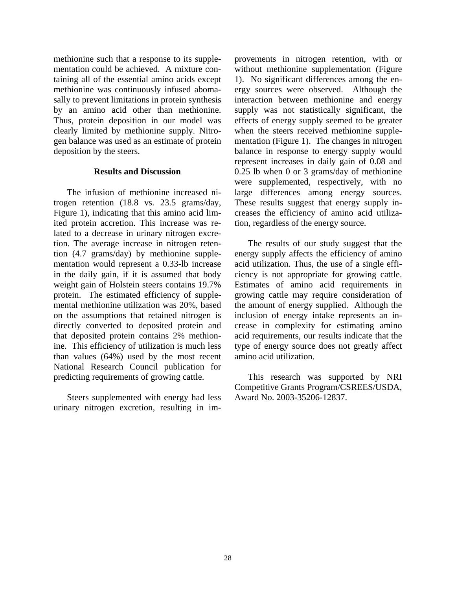methionine such that a response to its supplementation could be achieved. A mixture containing all of the essential amino acids except methionine was continuously infused abomasally to prevent limitations in protein synthesis by an amino acid other than methionine. Thus, protein deposition in our model was clearly limited by methionine supply. Nitrogen balance was used as an estimate of protein deposition by the steers.

#### **Results and Discussion**

The infusion of methionine increased nitrogen retention (18.8 vs. 23.5 grams/day, Figure 1), indicating that this amino acid limited protein accretion. This increase was related to a decrease in urinary nitrogen excretion. The average increase in nitrogen retention (4.7 grams/day) by methionine supplementation would represent a 0.33-lb increase in the daily gain, if it is assumed that body weight gain of Holstein steers contains 19.7% protein. The estimated efficiency of supplemental methionine utilization was 20%, based on the assumptions that retained nitrogen is directly converted to deposited protein and that deposited protein contains 2% methionine. This efficiency of utilization is much less than values (64%) used by the most recent National Research Council publication for predicting requirements of growing cattle.

Steers supplemented with energy had less urinary nitrogen excretion, resulting in improvements in nitrogen retention, with or without methionine supplementation (Figure 1). No significant differences among the energy sources were observed. Although the interaction between methionine and energy supply was not statistically significant, the effects of energy supply seemed to be greater when the steers received methionine supplementation (Figure 1). The changes in nitrogen balance in response to energy supply would represent increases in daily gain of 0.08 and 0.25 lb when 0 or 3 grams/day of methionine were supplemented, respectively, with no large differences among energy sources. These results suggest that energy supply increases the efficiency of amino acid utilization, regardless of the energy source.

The results of our study suggest that the energy supply affects the efficiency of amino acid utilization. Thus, the use of a single efficiency is not appropriate for growing cattle. Estimates of amino acid requirements in growing cattle may require consideration of the amount of energy supplied. Although the inclusion of energy intake represents an increase in complexity for estimating amino acid requirements, our results indicate that the type of energy source does not greatly affect amino acid utilization.

 This research was supported by NRI Competitive Grants Program/CSREES/USDA, Award No. 2003-35206-12837.